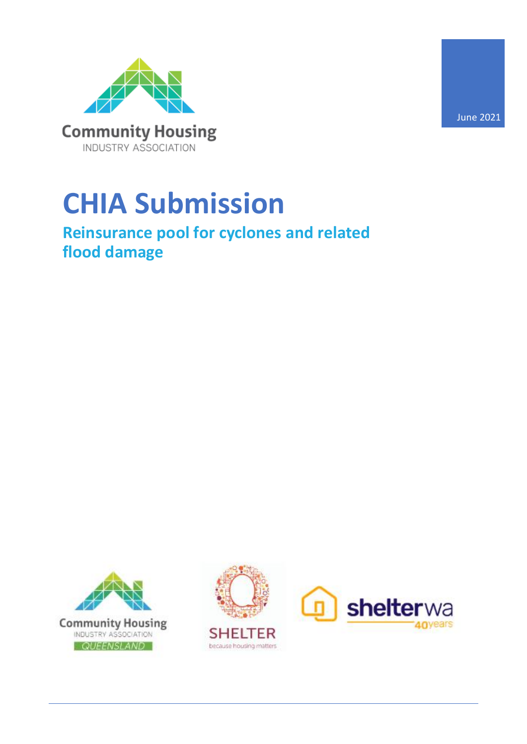

# **CHIA Submission**

### **Reinsurance pool for cyclones and related flood damage**



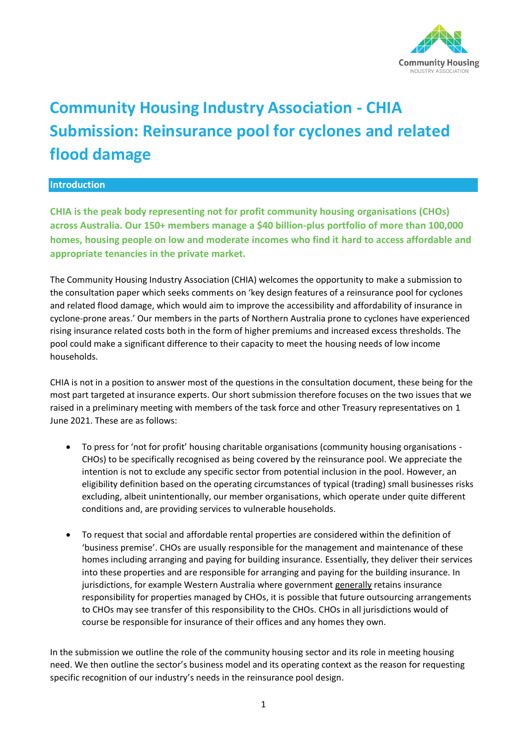

## **Community Housing Industry Association - CHIA Submission: Reinsurance pool for cyclones and related flood damage**

#### **Introduction**

**CHIA is the peak body representing not for profit community housing organisations (CHOs) across Australia. Our 150+ members manage a \$40 billion-plus portfolio of more than 100,000 homes, housing people on low and moderate incomes who find it hard to access affordable and appropriate tenancies in the private market.** 

The Community Housing Industry Association (CHIA) welcomes the opportunity to make a submission to the consultation paper which seeks comments on 'key design features of a reinsurance pool for cyclones and related flood damage, which would aim to improve the accessibility and affordability of insurance in cyclone-prone areas.' Our members in the parts of Northern Australia prone to cyclones have experienced rising insurance related costs both in the form of higher premiums and increased excess thresholds. The pool could make a significant difference to their capacity to meet the housing needs of low income households.

CHIA is not in a position to answer most of the questions in the consultation document, these being for the most part targeted at insurance experts. Our short submission therefore focuses on the two issues that we raised in a preliminary meeting with members of the task force and other Treasury representatives on 1 June 2021. These are as follows:

- To press for 'not for profit' housing charitable organisations (community housing organisations CHOs) to be specifically recognised as being covered by the reinsurance pool. We appreciate the intention is not to exclude any specific sector from potential inclusion in the pool. However, an eligibility definition based on the operating circumstances of typical (trading) small businesses risks excluding, albeit unintentionally, our member organisations, which operate under quite different conditions and, are providing services to vulnerable households.
- To request that social and affordable rental properties are considered within the definition of 'business premise'. CHOs are usually responsible for the management and maintenance of these homes including arranging and paying for building insurance. Essentially, they deliver their services into these properties and are responsible for arranging and paying for the building insurance. In jurisdictions, for example Western Australia where government generally retains insurance responsibility for properties managed by CHOs, it is possible that future outsourcing arrangements to CHOs may see transfer of this responsibility to the CHOs. CHOs in all jurisdictions would of course be responsible for insurance of their offices and any homes they own.

In the submission we outline the role of the community housing sector and its role in meeting housing need. We then outline the sector's business model and its operating context as the reason for requesting specific recognition of our industry's needs in the reinsurance pool design.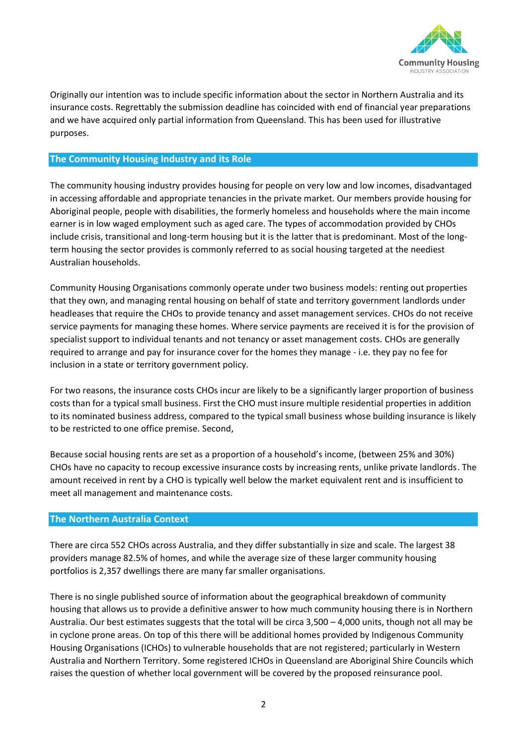

Originally our intention was to include specific information about the sector in Northern Australia and its insurance costs. Regrettably the submission deadline has coincided with end of financial year preparations and we have acquired only partial information from Queensland. This has been used for illustrative purposes.

#### **The Community Housing Industry and its Role**

The community housing industry provides housing for people on very low and low incomes, disadvantaged in accessing affordable and appropriate tenancies in the private market. Our members provide housing for Aboriginal people, people with disabilities, the formerly homeless and households where the main income earner is in low waged employment such as aged care. The types of accommodation provided by CHOs include crisis, transitional and long-term housing but it is the latter that is predominant. Most of the longterm housing the sector provides is commonly referred to as social housing targeted at the neediest Australian households.

Community Housing Organisations commonly operate under two business models: renting out properties that they own, and managing rental housing on behalf of state and territory government landlords under headleases that require the CHOs to provide tenancy and asset management services. CHOs do not receive service payments for managing these homes. Where service payments are received it is for the provision of specialist support to individual tenants and not tenancy or asset management costs. CHOs are generally required to arrange and pay for insurance cover for the homes they manage - i.e. they pay no fee for inclusion in a state or territory government policy.

For two reasons, the insurance costs CHOs incur are likely to be a significantly larger proportion of business costs than for a typical small business. First the CHO must insure multiple residential properties in addition to its nominated business address, compared to the typical small business whose building insurance is likely to be restricted to one office premise. Second,

Because social housing rents are set as a proportion of a household's income, (between 25% and 30%) CHOs have no capacity to recoup excessive insurance costs by increasing rents, unlike private landlords. The amount received in rent by a CHO is typically well below the market equivalent rent and is insufficient to meet all management and maintenance costs.

#### **The Northern Australia Context**

There are circa 552 CHOs across Australia, and they differ substantially in size and scale. The largest 38 providers manage 82.5% of homes, and while the average size of these larger community housing portfolios is 2,357 dwellings there are many far smaller organisations.

There is no single published source of information about the geographical breakdown of community housing that allows us to provide a definitive answer to how much community housing there is in Northern Australia. Our best estimates suggests that the total will be circa 3,500 – 4,000 units, though not all may be in cyclone prone areas. On top of this there will be additional homes provided by Indigenous Community Housing Organisations (ICHOs) to vulnerable households that are not registered; particularly in Western Australia and Northern Territory. Some registered ICHOs in Queensland are Aboriginal Shire Councils which raises the question of whether local government will be covered by the proposed reinsurance pool.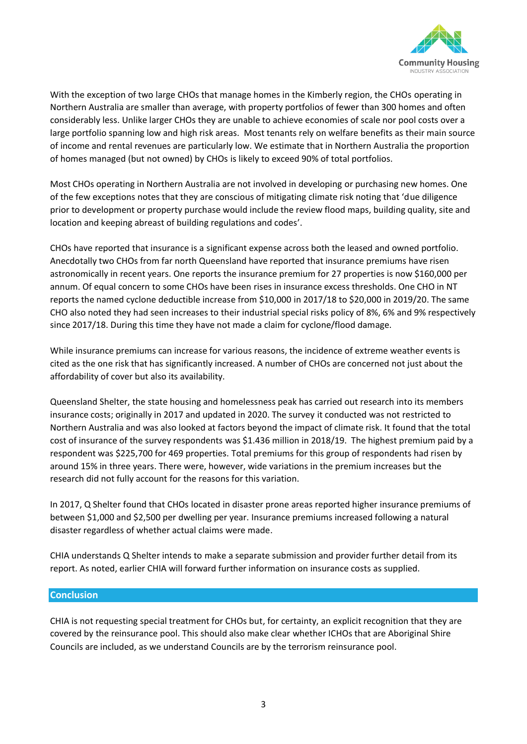

With the exception of two large CHOs that manage homes in the Kimberly region, the CHOs operating in Northern Australia are smaller than average, with property portfolios of fewer than 300 homes and often considerably less. Unlike larger CHOs they are unable to achieve economies of scale nor pool costs over a large portfolio spanning low and high risk areas. Most tenants rely on welfare benefits as their main source of income and rental revenues are particularly low. We estimate that in Northern Australia the proportion of homes managed (but not owned) by CHOs is likely to exceed 90% of total portfolios.

Most CHOs operating in Northern Australia are not involved in developing or purchasing new homes. One of the few exceptions notes that they are conscious of mitigating climate risk noting that 'due diligence prior to development or property purchase would include the review flood maps, building quality, site and location and keeping abreast of building regulations and codes'.

CHOs have reported that insurance is a significant expense across both the leased and owned portfolio. Anecdotally two CHOs from far north Queensland have reported that insurance premiums have risen astronomically in recent years. One reports the insurance premium for 27 properties is now \$160,000 per annum. Of equal concern to some CHOs have been rises in insurance excess thresholds. One CHO in NT reports the named cyclone deductible increase from \$10,000 in 2017/18 to \$20,000 in 2019/20. The same CHO also noted they had seen increases to their industrial special risks policy of 8%, 6% and 9% respectively since 2017/18. During this time they have not made a claim for cyclone/flood damage.

While insurance premiums can increase for various reasons, the incidence of extreme weather events is cited as the one risk that has significantly increased. A number of CHOs are concerned not just about the affordability of cover but also its availability.

Queensland Shelter, the state housing and homelessness peak has carried out research into its members insurance costs; originally in 2017 and updated in 2020. The survey it conducted was not restricted to Northern Australia and was also looked at factors beyond the impact of climate risk. It found that the total cost of insurance of the survey respondents was \$1.436 million in 2018/19. The highest premium paid by a respondent was \$225,700 for 469 properties. Total premiums for this group of respondents had risen by around 15% in three years. There were, however, wide variations in the premium increases but the research did not fully account for the reasons for this variation.

In 2017, Q Shelter found that CHOs located in disaster prone areas reported higher insurance premiums of between \$1,000 and \$2,500 per dwelling per year. Insurance premiums increased following a natural disaster regardless of whether actual claims were made.

CHIA understands Q Shelter intends to make a separate submission and provider further detail from its report. As noted, earlier CHIA will forward further information on insurance costs as supplied.

#### **Conclusion**

CHIA is not requesting special treatment for CHOs but, for certainty, an explicit recognition that they are covered by the reinsurance pool. This should also make clear whether ICHOs that are Aboriginal Shire Councils are included, as we understand Councils are by the terrorism reinsurance pool.